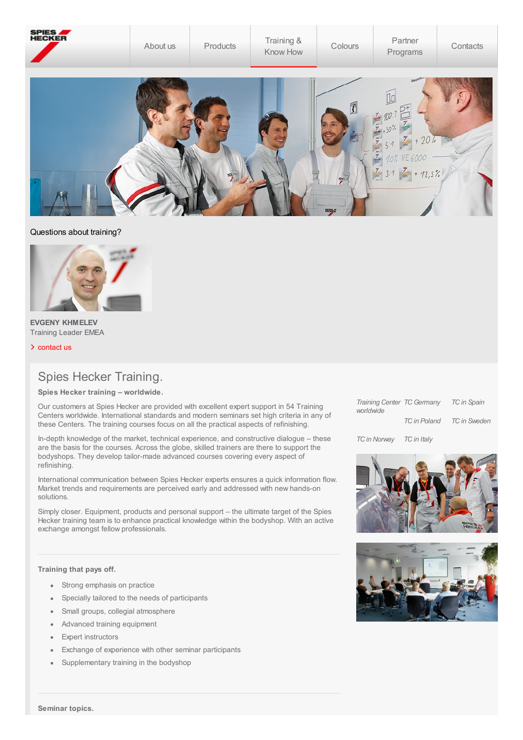

## Questions about training?



**EVGENY KHMELEV** Training Leader EMEA

> [contact](http://localhost:4513/content/spieshecker_corporate/en_GB/contacts/technical-support.html) us

## Spies Hecker Training.

**Spies Hecker training – worldwide.**

Our customers at Spies Hecker are provided with excellent expert support in 54 Training Centers worldwide. International standards and modern seminars set high criteria in any of these Centers. The training courses focus on all the practical aspects of refinishing.

In-depth knowledge of the market, technical experience, and constructive dialogue – these are the basis for the courses. Across the globe, skilled trainers are there to support the bodyshops. They develop tailor-made advanced courses covering every aspect of refinishing.

International communication between Spies Hecker experts ensures a quick information flow. Market trends and requirements are perceived early and addressed with new hands-on solutions.

Simply closer. Equipment, products and personal support – the ultimate target of the Spies Hecker training team is to enhance practical knowledge within the bodyshop. With an active exchange amongst fellow professionals.

## **Training that pays off.**

- Strong emphasis on practice
- Specially tailored to the needs of participants
- Small groups, collegial atmosphere
- Advanced training equipment
- Expert instructors
- Exchange of experience with other seminar participants
- Supplementary training in the bodyshop

| Training Center TC Germany<br>worldwide |              | <b>TC</b> in Spain  |
|-----------------------------------------|--------------|---------------------|
|                                         | TC in Poland | <b>TC</b> in Sweden |

*TCin Norway TCin Italy*